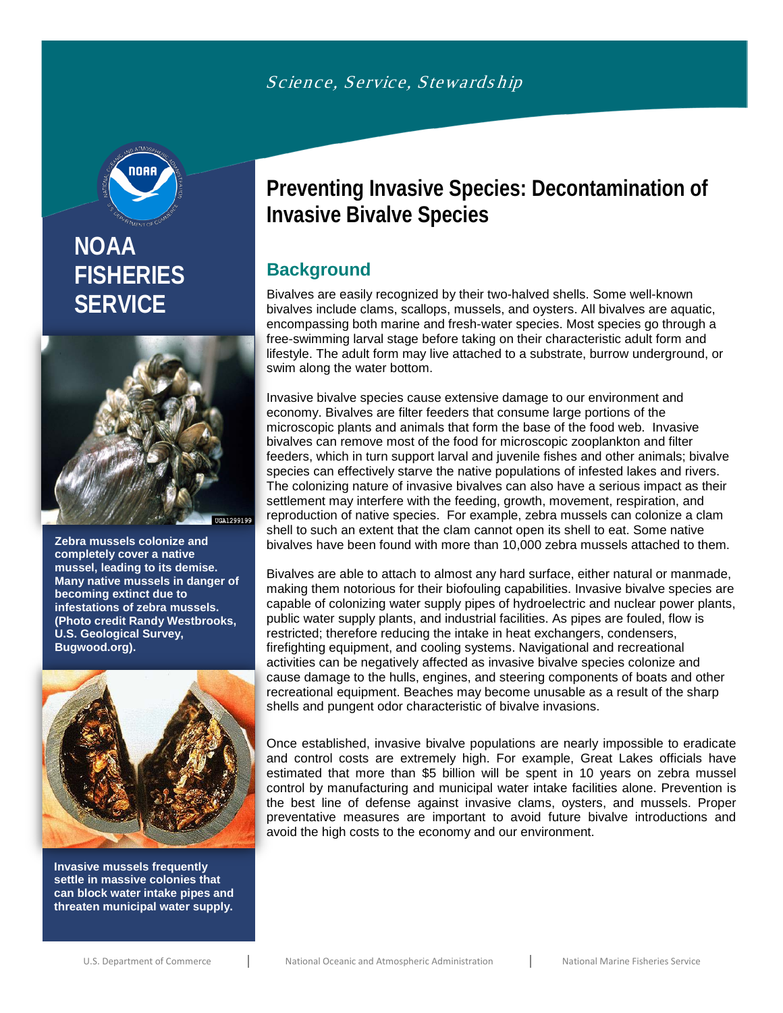

# **NOAA FISHERIES SERVICE**



**Zebra mussels colonize and completely cover a native mussel, leading to its demise. Many native mussels in danger of becoming extinct due to infestations of zebra mussels. (Photo credit Randy Westbrooks, U.S. Geological Survey, Bugwood.org).** 



**Invasive mussels frequently settle in massive colonies that can block water intake pipes and threaten municipal water supply.** 

# **Preventing Invasive Species: Decontamination of Invasive Bivalve Species**

## **Background**

Bivalves are easily recognized by their two-halved shells. Some well-known bivalves include clams, scallops, mussels, and oysters. All bivalves are aquatic, encompassing both marine and fresh-water species. Most species go through a free-swimming larval stage before taking on their characteristic adult form and lifestyle. The adult form may live attached to a substrate, burrow underground, or swim along the water bottom.

Invasive bivalve species cause extensive damage to our environment and economy. Bivalves are filter feeders that consume large portions of the microscopic plants and animals that form the base of the food web. Invasive bivalves can remove most of the food for microscopic zooplankton and filter feeders, which in turn support larval and juvenile fishes and other animals; bivalve species can effectively starve the native populations of infested lakes and rivers. The colonizing nature of invasive bivalves can also have a serious impact as their settlement may interfere with the feeding, growth, movement, respiration, and reproduction of native species. For example, zebra mussels can colonize a clam shell to such an extent that the clam cannot open its shell to eat. Some native bivalves have been found with more than 10,000 zebra mussels attached to them.

Bivalves are able to attach to almost any hard surface, either natural or manmade, making them notorious for their biofouling capabilities. Invasive bivalve species are capable of colonizing water supply pipes of hydroelectric and nuclear power plants, public water supply plants, and industrial facilities. As pipes are fouled, flow is restricted; therefore reducing the intake in heat exchangers, condensers, firefighting equipment, and cooling systems. Navigational and recreational activities can be negatively affected as invasive bivalve species colonize and cause damage to the hulls, engines, and steering components of boats and other recreational equipment. Beaches may become unusable as a result of the sharp shells and pungent odor characteristic of bivalve invasions.

Once established, invasive bivalve populations are nearly impossible to eradicate and control costs are extremely high. For example, Great Lakes officials have estimated that more than \$5 billion will be spent in 10 years on zebra mussel control by manufacturing and municipal water intake facilities alone. Prevention is the best line of defense against invasive clams, oysters, and mussels. Proper preventative measures are important to avoid future bivalve introductions and avoid the high costs to the economy and our environment.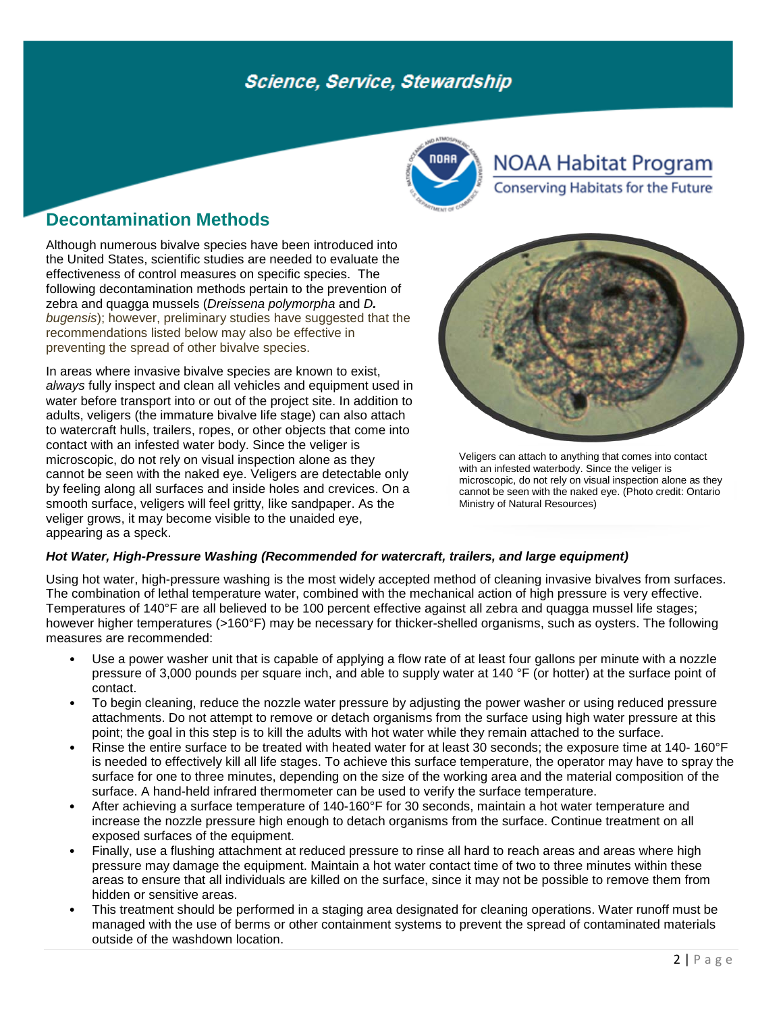

**NOAA Habitat Program Conserving Habitats for the Future** 

### **Decontamination Methods**

Although numerous bivalve species have been introduced into the United States, scientific studies are needed to evaluate the effectiveness of control measures on specific species. The following decontamination methods pertain to the prevention of zebra and quagga mussels (*Dreissena polymorpha* and *D. bugensis*); however, preliminary studies have suggested that the recommendations listed below may also be effective in preventing the spread of other bivalve species.

In areas where invasive bivalve species are known to exist, *always* fully inspect and clean all vehicles and equipment used in water before transport into or out of the project site. In addition to adults, veligers (the immature bivalve life stage) can also attach to watercraft hulls, trailers, ropes, or other objects that come into contact with an infested water body. Since the veliger is microscopic, do not rely on visual inspection alone as they cannot be seen with the naked eye. Veligers are detectable only by feeling along all surfaces and inside holes and crevices. On a smooth surface, veligers will feel gritty, like sandpaper. As the veliger grows, it may become visible to the unaided eye, appearing as a speck.



Veligers can attach to anything that comes into contact with an infested waterbody. Since the veliger is microscopic, do not rely on visual inspection alone as they cannot be seen with the naked eye. (Photo credit: Ontario Ministry of Natural Resources)

### *Hot Water, High-Pressure Washing (Recommended for watercraft, trailers, and large equipment)*

Using hot water, high-pressure washing is the most widely accepted method of cleaning invasive bivalves from surfaces. The combination of lethal temperature water, combined with the mechanical action of high pressure is very effective. Temperatures of 140°F are all believed to be 100 percent effective against all zebra and quagga mussel life stages; however higher temperatures (>160°F) may be necessary for thicker-shelled organisms, such as oysters. The following measures are recommended:

- Use a power washer unit that is capable of applying a flow rate of at least four gallons per minute with a nozzle pressure of 3,000 pounds per square inch, and able to supply water at 140 °F (or hotter) at the surface point of contact.
- To begin cleaning, reduce the nozzle water pressure by adjusting the power washer or using reduced pressure attachments. Do not attempt to remove or detach organisms from the surface using high water pressure at this point; the goal in this step is to kill the adults with hot water while they remain attached to the surface.
- Rinse the entire surface to be treated with heated water for at least 30 seconds; the exposure time at 140- 160°F is needed to effectively kill all life stages. To achieve this surface temperature, the operator may have to spray the surface for one to three minutes, depending on the size of the working area and the material composition of the surface. A hand-held infrared thermometer can be used to verify the surface temperature.
- After achieving a surface temperature of 140-160°F for 30 seconds, maintain a hot water temperature and increase the nozzle pressure high enough to detach organisms from the surface. Continue treatment on all exposed surfaces of the equipment.
- Finally, use a flushing attachment at reduced pressure to rinse all hard to reach areas and areas where high pressure may damage the equipment. Maintain a hot water contact time of two to three minutes within these areas to ensure that all individuals are killed on the surface, since it may not be possible to remove them from hidden or sensitive areas.
- This treatment should be performed in a staging area designated for cleaning operations. Water runoff must be managed with the use of berms or other containment systems to prevent the spread of contaminated materials outside of the washdown location.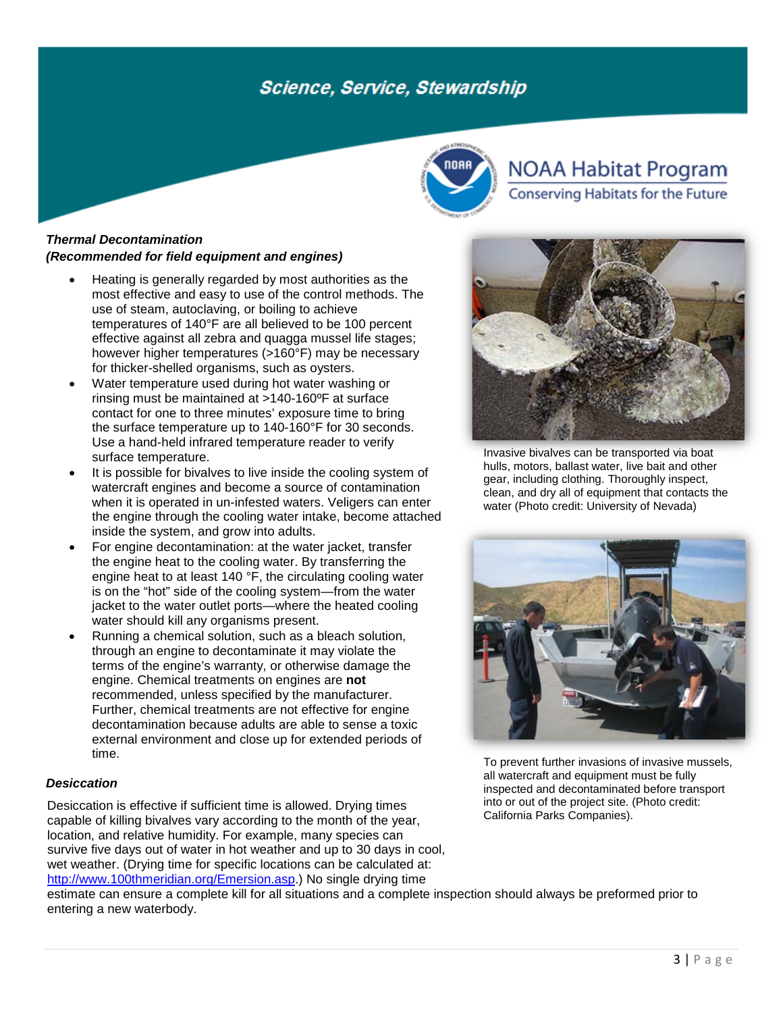

# **NOAA Habitat Program**

Conserving Habitats for the Future

### *Thermal Decontamination (Recommended for field equipment and engines)*

- Heating is generally regarded by most authorities as the most effective and easy to use of the control methods. The use of steam, autoclaving, or boiling to achieve temperatures of 140°F are all believed to be 100 percent effective against all zebra and quagga mussel life stages; however higher temperatures (>160°F) may be necessary for thicker-shelled organisms, such as oysters.
- Water temperature used during hot water washing or rinsing must be maintained at >140-160ºF at surface contact for one to three minutes' exposure time to bring the surface temperature up to 140-160°F for 30 seconds. Use a hand-held infrared temperature reader to verify surface temperature.
- It is possible for bivalves to live inside the cooling system of watercraft engines and become a source of contamination when it is operated in un-infested waters. Veligers can enter the engine through the cooling water intake, become attached inside the system, and grow into adults.
- For engine decontamination: at the water jacket, transfer the engine heat to the cooling water. By transferring the engine heat to at least 140 °F, the circulating cooling water is on the "hot" side of the cooling system—from the water jacket to the water outlet ports—where the heated cooling water should kill any organisms present.
- Running a chemical solution, such as a bleach solution, through an engine to decontaminate it may violate the terms of the engine's warranty, or otherwise damage the engine. Chemical treatments on engines are **not** recommended, unless specified by the manufacturer. Further, chemical treatments are not effective for engine decontamination because adults are able to sense a toxic external environment and close up for extended periods of time.

#### *Desiccation*

Desiccation is effective if sufficient time is allowed. Drying times capable of killing bivalves vary according to the month of the year, location, and relative humidity. For example, many species can survive five days out of water in hot weather and up to 30 days in cool, wet weather. (Drying time for specific locations can be calculated at: [http://www.100thmeridian.org/Emersion.asp.](http://www.100thmeridian.org/Emersion.asp)) No single drying time



Invasive bivalves can be transported via boat hulls, motors, ballast water, live bait and other gear, including clothing. Thoroughly inspect, clean, and dry all of equipment that contacts the water (Photo credit: University of Nevada)



To prevent further invasions of invasive mussels, all watercraft and equipment must be fully inspected and decontaminated before transport into or out of the project site. (Photo credit: California Parks Companies).

estimate can ensure a complete kill for all situations and a complete inspection should always be preformed prior to entering a new waterbody.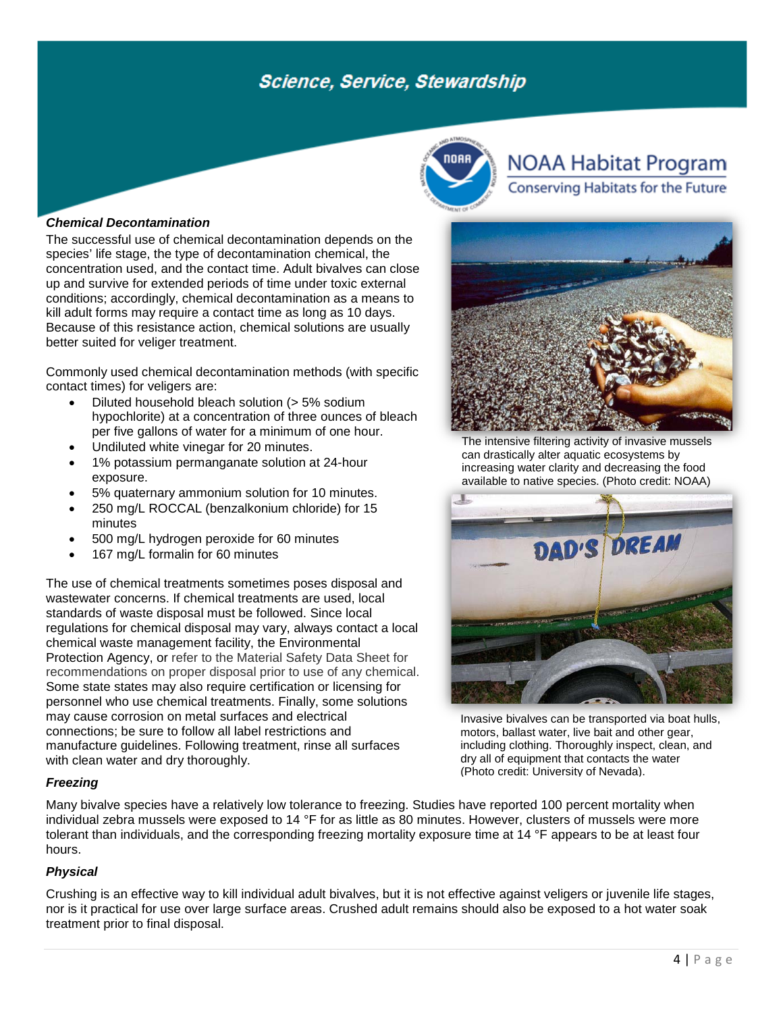

# **NOAA Habitat Program**

Conserving Habitats for the Future



The successful use of chemical decontamination depends on the species' life stage, the type of decontamination chemical, the concentration used, and the contact time. Adult bivalves can close up and survive for extended periods of time under toxic external conditions; accordingly, chemical decontamination as a means to kill adult forms may require a contact time as long as 10 days. Because of this resistance action, chemical solutions are usually better suited for veliger treatment.

Commonly used chemical decontamination methods (with specific contact times) for veligers are:

- Diluted household bleach solution (> 5% sodium hypochlorite) at a concentration of three ounces of bleach per five gallons of water for a minimum of one hour.
- Undiluted white vinegar for 20 minutes.
- 1% potassium permanganate solution at 24-hour exposure.
- 5% quaternary ammonium solution for 10 minutes.
- 250 mg/L ROCCAL (benzalkonium chloride) for 15 minutes
- 500 mg/L hydrogen peroxide for 60 minutes
- 167 mg/L formalin for 60 minutes

The use of chemical treatments sometimes poses disposal and wastewater concerns. If chemical treatments are used, local standards of waste disposal must be followed. Since local regulations for chemical disposal may vary, always contact a local chemical waste management facility, the Environmental Protection Agency, or refer to the Material Safety Data Sheet for recommendations on proper disposal prior to use of any chemical. Some state states may also require certification or licensing for personnel who use chemical treatments. Finally, some solutions may cause corrosion on metal surfaces and electrical connections; be sure to follow all label restrictions and manufacture guidelines. Following treatment, rinse all surfaces with clean water and dry thoroughly.

### *Freezing*

Many bivalve species have a relatively low tolerance to freezing. Studies have reported 100 percent mortality when individual zebra mussels were exposed to 14 °F for as little as 80 minutes. However, clusters of mussels were more tolerant than individuals, and the corresponding freezing mortality exposure time at 14 °F appears to be at least four hours.

### *Physical*

Crushing is an effective way to kill individual adult bivalves, but it is not effective against veligers or juvenile life stages, nor is it practical for use over large surface areas. Crushed adult remains should also be exposed to a hot water soak treatment prior to final disposal.



The intensive filtering activity of invasive mussels can drastically alter aquatic ecosystems by increasing water clarity and decreasing the food available to native species. (Photo credit: NOAA)



Invasive bivalves can be transported via boat hulls, motors, ballast water, live bait and other gear, including clothing. Thoroughly inspect, clean, and dry all of equipment that contacts the water (Photo credit: University of Nevada).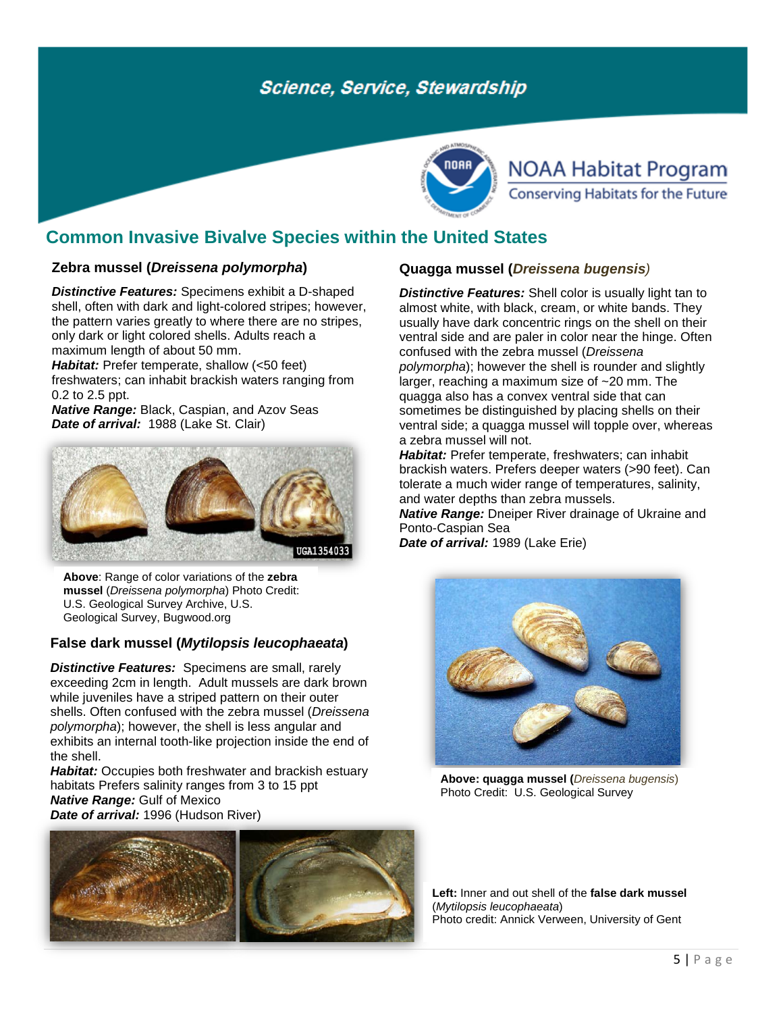

# **NOAA Habitat Program** Conserving Habitats for the Future

### **Common Invasive Bivalve Species within the United States**

### **Zebra mussel (***Dreissena polymorpha***)**

*Distinctive Features:* Specimens exhibit a D-shaped shell, often with dark and light-colored stripes; however, the pattern varies greatly to where there are no stripes, only dark or light colored shells. Adults reach a maximum length of about 50 mm.

*Habitat:* Prefer temperate, shallow (<50 feet) freshwaters; can inhabit brackish waters ranging from 0.2 to 2.5 ppt.

*Native Range:* Black, Caspian, and Azov Seas *Date of arrival:* 1988 (Lake St. Clair)



**Above**: Range of color variations of the **zebra mussel** (*Dreissena polymorpha*) Photo Credit: U.S. Geological Survey Archive, U.S. Geological Survey, Bugwood.org

### **False dark mussel (***Mytilopsis leucophaeata***)**

*Distinctive Features:* Specimens are small, rarely exceeding 2cm in length. Adult mussels are dark brown while juveniles have a striped pattern on their outer shells. Often confused with the zebra mussel (*Dreissena polymorpha*); however, the shell is less angular and exhibits an internal tooth-like projection inside the end of the shell.

*Habitat:* Occupies both freshwater and brackish estuary habitats Prefers salinity ranges from 3 to 15 ppt *Native Range:* Gulf of Mexico *Date of arrival:* 1996 (Hudson River)



### **Quagga mussel (***Dreissena bugensis)*

*Distinctive Features:* Shell color is usually light tan to almost white, with black, cream, or white bands. They usually have dark concentric rings on the shell on their ventral side and are paler in color near the hinge. Often confused with the zebra mussel (*Dreissena polymorpha*); however the shell is rounder and slightly larger, reaching a maximum size of ~20 mm. The quagga also has a convex ventral side that can sometimes be distinguished by placing shells on their ventral side; a quagga mussel will topple over, whereas a zebra mussel will not.

*Habitat:* Prefer temperate, freshwaters; can inhabit brackish waters. Prefers deeper waters (>90 feet). Can tolerate a much wider range of temperatures, salinity, and water depths than zebra mussels.

*Native Range:* Dneiper River drainage of Ukraine and Ponto-Caspian Sea

*Date of arrival:* 1989 (Lake Erie)



**Above: quagga mussel (***Dreissena bugensis*) Photo Credit: U.S. Geological Survey

**Left:** Inner and out shell of the **false dark mussel**  (*Mytilopsis leucophaeata*) Photo credit: Annick Verween, University of Gent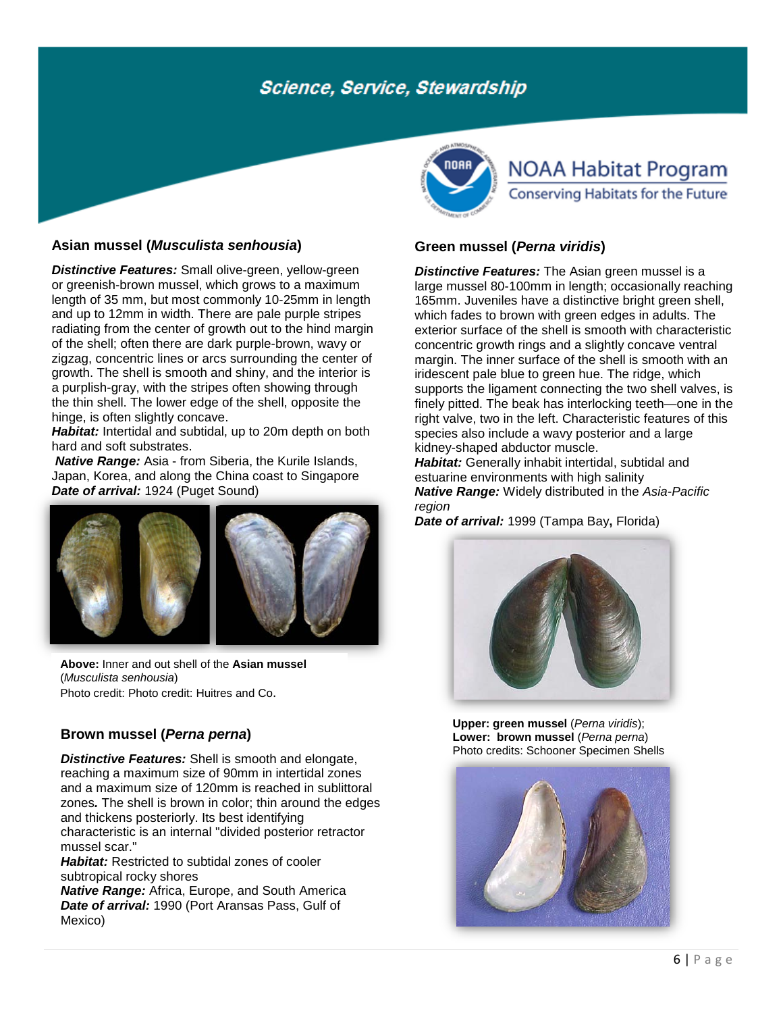### **[Asian mussel](http://nas.er.usgs.gov/queries/SpeciesList.asp?Group=&Genus=Musculista&Species=&ComName=) (***Musculista senhousia***)**

*Distinctive Features:* Small olive-green, vellow-green or greenish-brown mussel, which grows to a maximum length of 35 mm, but most commonly 10-25mm in length and up to 12mm in width. There are pale purple stripes radiating from the center of growth out to the hind margin of the shell; often there are dark purple-brown, wavy or zigzag, concentric lines or arcs surrounding the center of growth. The shell is smooth and shiny, and the interior is a purplish-gray, with the stripes often showing through the thin shell. The lower edge of the shell, opposite the hinge, is often slightly concave.

*Habitat:* Intertidal and subtidal, up to 20m depth on both hard and soft substrates.

*Native Range:* Asia - from Siberia, the Kurile Islands, Japan, Korea, and along the China coast to Singapore *Date of arrival:* 1924 (Puget Sound)



**Above:** Inner and out shell of the **Asian mussel**  (*Musculista senhousia*) Photo credit: Photo credit: Huitres and Co.

### **[Brown mussel](http://nas.er.usgs.gov/queries/FactSheet.asp?speciesID=109) (***Perna perna***)**

*Distinctive Features:* Shell is smooth and elongate, reaching a maximum size of 90mm in intertidal zones and a maximum size of 120mm is reached in sublittoral zones*.* The shell is brown in color; thin around the edges and thickens posteriorly. Its best identifying characteristic is an internal "divided posterior retractor mussel scar."

*Habitat:* Restricted to subtidal zones of cooler subtropical rocky shores

*Native Range:* Africa, Europe, and South America *Date of arrival:* 1990 (Port Aransas Pass, Gulf of Mexico)



# **NOAA Habitat Program** Conserving Habitats for the Future

### **[Green mussel](http://nas.er.usgs.gov/queries/FactSheet.asp?speciesID=110) (***Perna viridis***)**

**Distinctive Features:** The Asian green mussel is a large mussel 80-100mm in length; occasionally reaching 165mm. Juveniles have a distinctive bright green shell, which fades to brown with green edges in adults. The exterior surface of the shell is smooth with characteristic concentric growth rings and a slightly concave ventral margin. The inner surface of the shell is smooth with an iridescent pale blue to green hue. The ridge, which supports the ligament connecting the two shell valves, is finely pitted. The beak has interlocking teeth—one in the right valve, two in the left. Characteristic features of this species also include a wavy posterior and a large kidney-shaped abductor muscle.

*Habitat:* Generally inhabit intertidal, subtidal and estuarine environments with high salinity *Native Range:* Widely distributed in the *Asia-Pacific region*

*Date of arrival:* 1999 (Tampa Bay**,** Florida)



**Upper[: green mussel](http://nas.er.usgs.gov/queries/FactSheet.asp?speciesID=110)** (*Perna viridis*); **Lower: brown mussel** (*Perna perna*) Photo credits: Schooner Specimen Shells

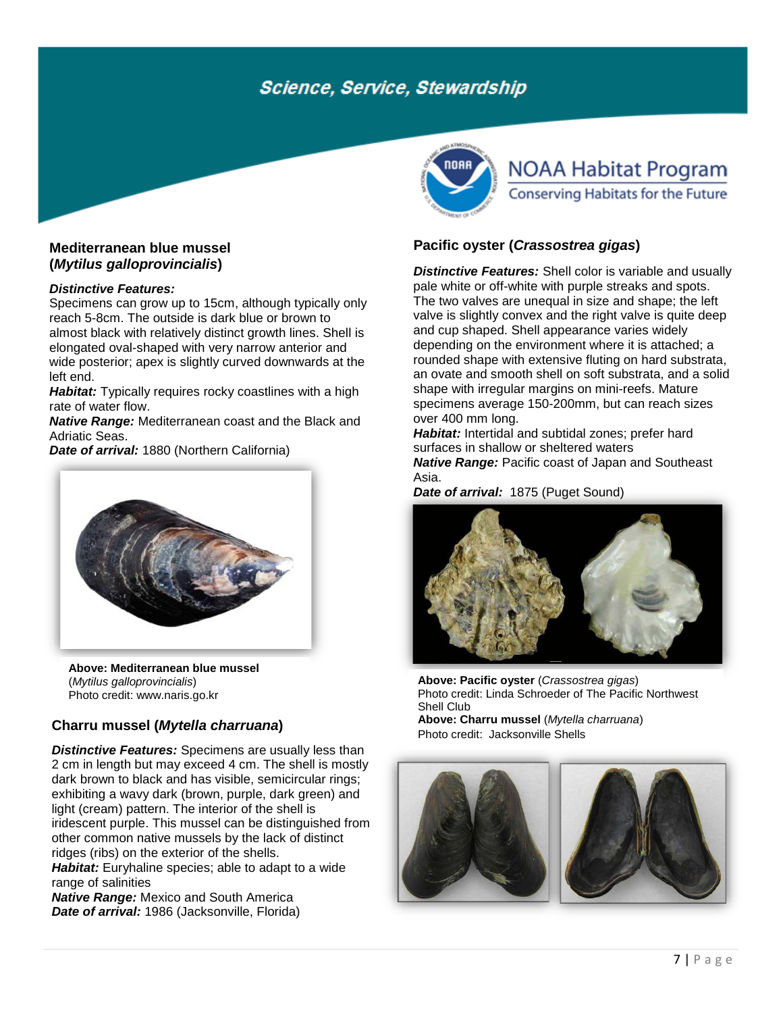### **[Mediterranean blue mussel](http://nas.er.usgs.gov/queries/FactSheet.asp?speciesID=107) (***Mytilus galloprovincialis***)**

#### *Distinctive Features:*

Specimens can grow up to 15cm, although typically only reach 5-8cm. The outside is dark blue or brown to almost black with relatively distinct growth lines. Shell is elongated oval-shaped with very narrow anterior and wide posterior; apex is slightly curved downwards at the left end.

*Habitat:* Typically requires rocky coastlines with a high rate of water flow.

*Native Range:* Mediterranean coast and the Black and Adriatic Seas.

*Date of arrival:* 1880 (Northern California)



**Above[: Mediterranean blue mussel](http://nas.er.usgs.gov/queries/FactSheet.asp?speciesID=107)** (*Mytilus galloprovincialis*) Photo credit: www.naris.go.kr

### **Charru [mussel](http://nas.er.usgs.gov/queries/FactSheet.asp?speciesID=106) (***Mytella charruana***)**

*Distinctive Features:* Specimens are usually less than 2 cm in length but may exceed 4 cm. The shell is mostly dark brown to black and has visible, semicircular rings; exhibiting a wavy dark (brown, purple, dark green) and light (cream) pattern. The interior of the shell is iridescent purple. This mussel can be distinguished from other common native mussels by the lack of distinct ridges (ribs) on the exterior of the shells.

**Habitat:** Euryhaline species; able to adapt to a wide range of salinities

*Native Range:* Mexico and South America *Date of arrival:* 1986 (Jacksonville, Florida)



# **NOAA Habitat Program** Conserving Habitats for the Future

### **Pacific oyster (***Crassostrea gigas***)**

*Distinctive Features:* Shell color is variable and usually pale white or off-white with purple streaks and spots. The two valves are unequal in size and shape; the left valve is slightly convex and the right valve is quite deep and cup shaped. Shell appearance varies widely depending on the environment where it is attached; a rounded shape with extensive fluting on hard substrata, an ovate and smooth shell on soft substrata, and a solid shape with irregular margins on mini-reefs. Mature specimens average 150-200mm, but can reach sizes over 400 mm long.

*Habitat:* Intertidal and subtidal zones; prefer hard surfaces in shallow or sheltered waters *Native Range:* Pacific coast of Japan and Southeast Asia.

*Date of arrival:* 1875 (Puget Sound)



**Above: Pacific oyster** (*Crassostrea gigas*) Photo credit: Linda Schroeder of The Pacific Northwest Shell Club

**Above: [Charru mussel](http://nas.er.usgs.gov/queries/FactSheet.asp?speciesID=106)** (*Mytella charruana*) Photo credit: Jacksonville Shells



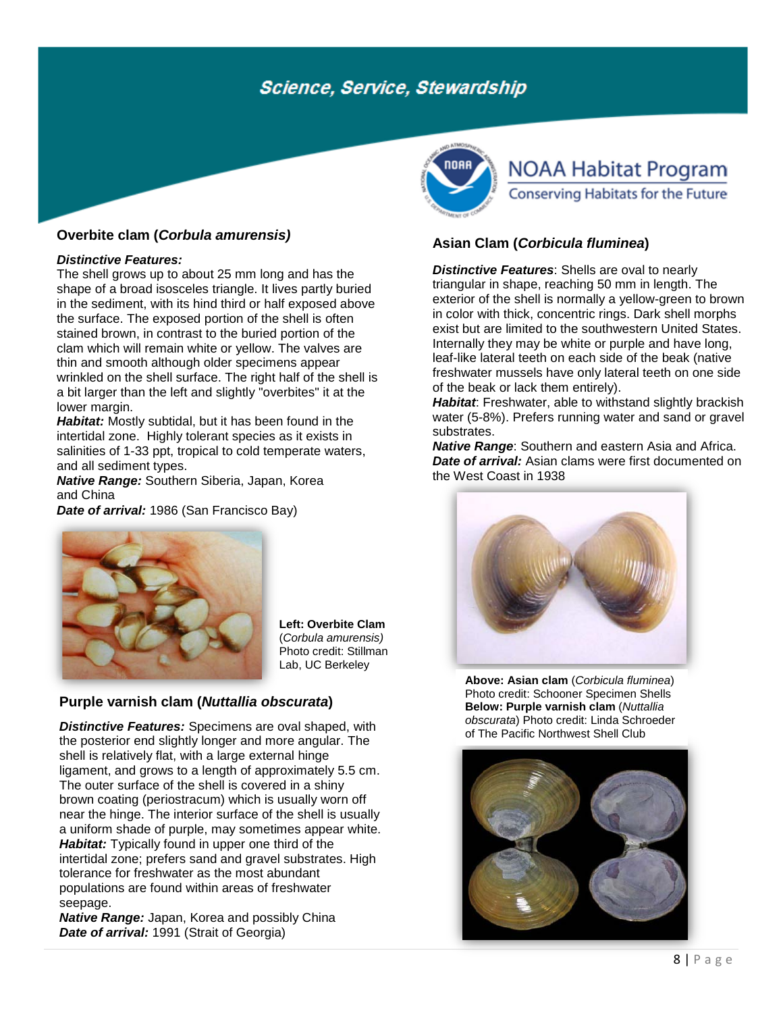### **Overbite clam (***Corbula amurensis)*

#### *Distinctive Features:*

The shell grows up to about 25 mm long and has the shape of a broad isosceles triangle. It lives partly buried in the sediment, with its hind third or half exposed above the surface. The exposed portion of the shell is often stained brown, in contrast to the buried portion of the clam which will remain white or yellow. The valves are thin and smooth although older specimens appear wrinkled on the shell surface. The right half of the shell is a bit larger than the left and slightly "overbites" it at the lower margin.

*Habitat:* Mostly subtidal, but it has been found in the intertidal zone. Highly tolerant species as it exists in salinities of 1-33 ppt, tropical to cold temperate waters, and all sediment types.

*Native Range:* Southern Siberia, Japan, Korea and China

*Date of arrival:* 1986 (San Francisco Bay)



**Left: Overbite Clam**  (*Corbula amurensis)* Photo credit: Stillman Lab, UC Berkeley

### **[Purple varnish clam](http://nas.er.usgs.gov/queries/FactSheet.asp?speciesID=2259) (***Nuttallia obscurata***)**

*Distinctive Features:* Specimens are oval shaped, with the posterior end slightly longer and more angular. The shell is relatively flat, with a large external hinge ligament, and grows to a length of approximately 5.5 cm. The outer surface of the shell is covered in a shiny brown coating (periostracum) which is usually worn off near the hinge. The interior surface of the shell is usually a uniform shade of purple, may sometimes appear white. *Habitat:* Typically found in upper one third of the intertidal zone; prefers sand and gravel substrates. High tolerance for freshwater as the most abundant populations are found within areas of freshwater seepage.

*Native Range:* Japan, Korea and possibly China *Date of arrival:* 1991 (Strait of Georgia)



# **NOAA Habitat Program** Conserving Habitats for the Future

### **Asian Clam (***Corbicula fluminea***)**

*Distinctive Features*: Shells are oval to nearly triangular in shape, reaching 50 mm in length. The exterior of the shell is normally a yellow-green to brown in color with thick, concentric rings. Dark shell morphs exist but are limited to the southwestern United States. Internally they may be white or purple and have long, leaf-like lateral teeth on each side of the beak (native freshwater mussels have only lateral teeth on one side of the beak or lack them entirely).

*Habitat*: Freshwater, able to withstand slightly brackish water (5-8%). Prefers running water and sand or gravel substrates.

*Native Range*: Southern and eastern Asia and Africa. *Date of arrival:* Asian clams were first documented on the West Coast in 1938



**Above: Asian clam** (*Corbicula fluminea*) Photo credit: Schooner Specimen Shells **Below: Purple varnish clam** (*Nuttallia obscurata*) Photo credit: Linda Schroeder of The Pacific Northwest Shell Club